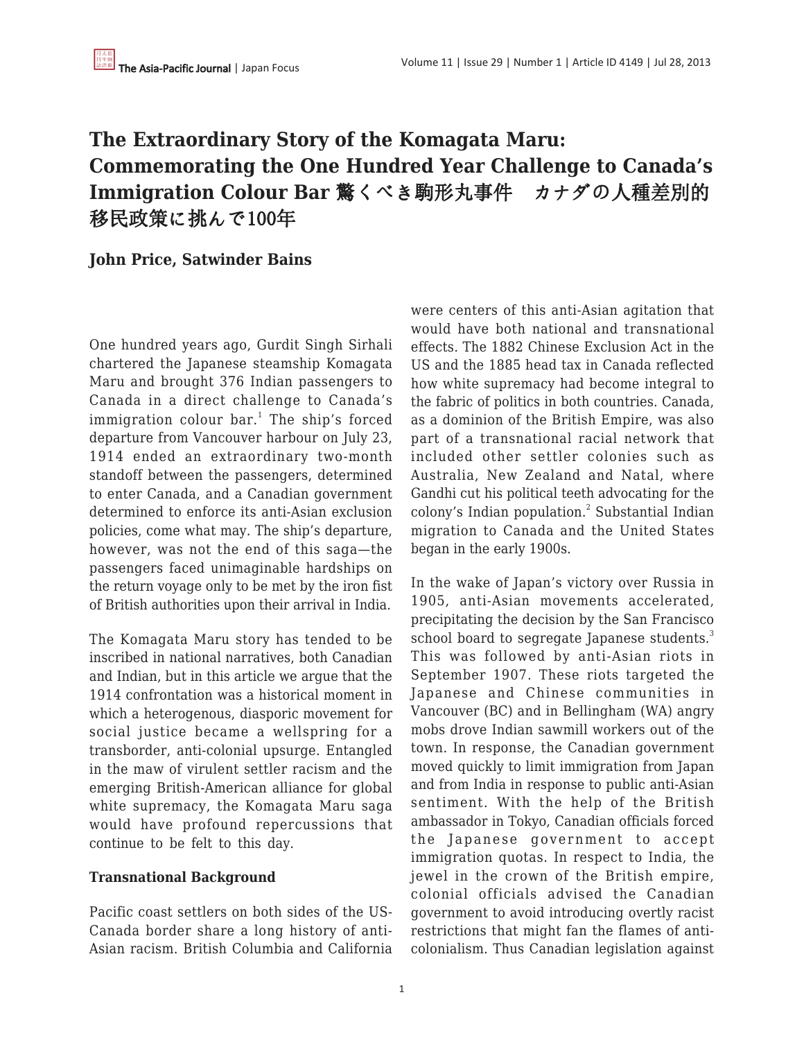# **The Extraordinary Story of the Komagata Maru: Commemorating the One Hundred Year Challenge to Canada's Immigration Colour Bar** 驚くべき駒形丸事件 カナダの人種差別的 移民政策に挑んで100年

## **John Price, Satwinder Bains**

One hundred years ago, Gurdit Singh Sirhali chartered the Japanese steamship Komagata Maru and brought 376 Indian passengers to Canada in a direct challenge to Canada's immigration colour bar. $^1$  The ship's forced departure from Vancouver harbour on July 23, 1914 ended an extraordinary two-month standoff between the passengers, determined to enter Canada, and a Canadian government determined to enforce its anti-Asian exclusion policies, come what may. The ship's departure, however, was not the end of this saga—the passengers faced unimaginable hardships on the return voyage only to be met by the iron fist of British authorities upon their arrival in India.

The Komagata Maru story has tended to be inscribed in national narratives, both Canadian and Indian, but in this article we argue that the 1914 confrontation was a historical moment in which a heterogenous, diasporic movement for social justice became a wellspring for a transborder, anti-colonial upsurge. Entangled in the maw of virulent settler racism and the emerging British-American alliance for global white supremacy, the Komagata Maru saga would have profound repercussions that continue to be felt to this day.

## **Transnational Background**

Pacific coast settlers on both sides of the US-Canada border share a long history of anti-Asian racism. British Columbia and California were centers of this anti-Asian agitation that would have both national and transnational effects. The 1882 Chinese Exclusion Act in the US and the 1885 head tax in Canada reflected how white supremacy had become integral to the fabric of politics in both countries. Canada, as a dominion of the British Empire, was also part of a transnational racial network that included other settler colonies such as Australia, New Zealand and Natal, where Gandhi cut his political teeth advocating for the colony's Indian population.<sup>2</sup> Substantial Indian migration to Canada and the United States began in the early 1900s.

In the wake of Japan's victory over Russia in 1905, anti-Asian movements accelerated, precipitating the decision by the San Francisco school board to segregate Japanese students.<sup>3</sup> This was followed by anti-Asian riots in September 1907. These riots targeted the Japanese and Chinese communities in Vancouver (BC) and in Bellingham (WA) angry mobs drove Indian sawmill workers out of the town. In response, the Canadian government moved quickly to limit immigration from Japan and from India in response to public anti-Asian sentiment. With the help of the British ambassador in Tokyo, Canadian officials forced the Japanese government to accept immigration quotas. In respect to India, the jewel in the crown of the British empire, colonial officials advised the Canadian government to avoid introducing overtly racist restrictions that might fan the flames of anticolonialism. Thus Canadian legislation against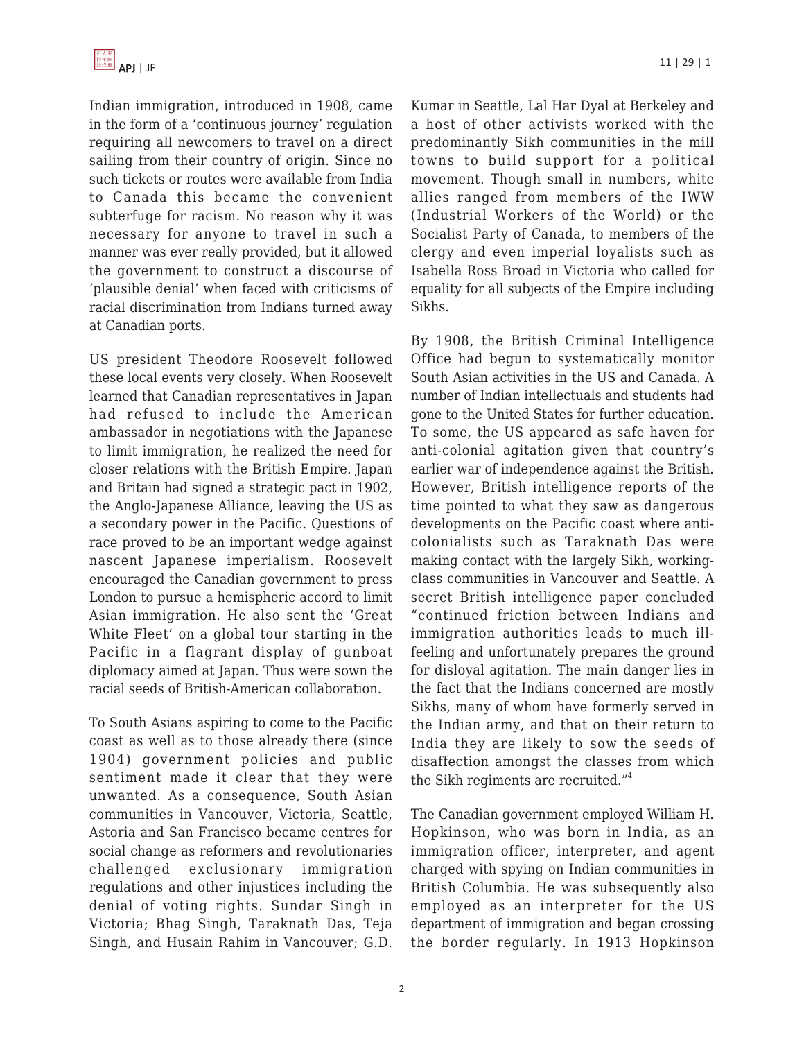Indian immigration, introduced in 1908, came in the form of a 'continuous journey' regulation requiring all newcomers to travel on a direct sailing from their country of origin. Since no such tickets or routes were available from India to Canada this became the convenient subterfuge for racism. No reason why it was necessary for anyone to travel in such a manner was ever really provided, but it allowed the government to construct a discourse of 'plausible denial' when faced with criticisms of racial discrimination from Indians turned away at Canadian ports.

US president Theodore Roosevelt followed these local events very closely. When Roosevelt learned that Canadian representatives in Japan had refused to include the American ambassador in negotiations with the Japanese to limit immigration, he realized the need for closer relations with the British Empire. Japan and Britain had signed a strategic pact in 1902, the Anglo-Japanese Alliance, leaving the US as a secondary power in the Pacific. Questions of race proved to be an important wedge against nascent Japanese imperialism. Roosevelt encouraged the Canadian government to press London to pursue a hemispheric accord to limit Asian immigration. He also sent the 'Great White Fleet' on a global tour starting in the Pacific in a flagrant display of gunboat diplomacy aimed at Japan. Thus were sown the racial seeds of British-American collaboration.

To South Asians aspiring to come to the Pacific coast as well as to those already there (since 1904) government policies and public sentiment made it clear that they were unwanted. As a consequence, South Asian communities in Vancouver, Victoria, Seattle, Astoria and San Francisco became centres for social change as reformers and revolutionaries challenged exclusionary immigration regulations and other injustices including the denial of voting rights. Sundar Singh in Victoria; Bhag Singh, Taraknath Das, Teja Singh, and Husain Rahim in Vancouver; G.D.

Kumar in Seattle, Lal Har Dyal at Berkeley and a host of other activists worked with the predominantly Sikh communities in the mill towns to build support for a political movement. Though small in numbers, white allies ranged from members of the IWW (Industrial Workers of the World) or the Socialist Party of Canada, to members of the clergy and even imperial loyalists such as Isabella Ross Broad in Victoria who called for equality for all subjects of the Empire including Sikhs.

By 1908, the British Criminal Intelligence Office had begun to systematically monitor South Asian activities in the US and Canada. A number of Indian intellectuals and students had gone to the United States for further education. To some, the US appeared as safe haven for anti-colonial agitation given that country's earlier war of independence against the British. However, British intelligence reports of the time pointed to what they saw as dangerous developments on the Pacific coast where anticolonialists such as Taraknath Das were making contact with the largely Sikh, workingclass communities in Vancouver and Seattle. A secret British intelligence paper concluded "continued friction between Indians and immigration authorities leads to much illfeeling and unfortunately prepares the ground for disloyal agitation. The main danger lies in the fact that the Indians concerned are mostly Sikhs, many of whom have formerly served in the Indian army, and that on their return to India they are likely to sow the seeds of disaffection amongst the classes from which the Sikh regiments are recruited."<sup>4</sup>

The Canadian government employed William H. Hopkinson, who was born in India, as an immigration officer, interpreter, and agent charged with spying on Indian communities in British Columbia. He was subsequently also employed as an interpreter for the US department of immigration and began crossing the border regularly. In 1913 Hopkinson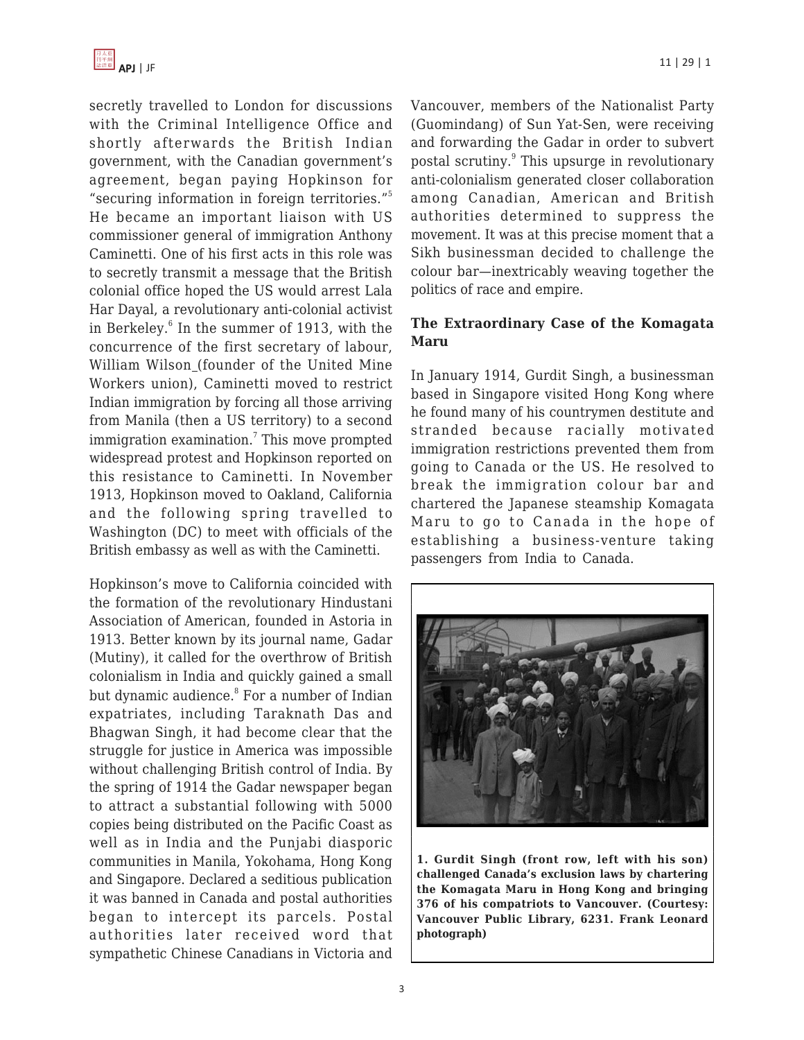

secretly travelled to London for discussions with the Criminal Intelligence Office and shortly afterwards the British Indian government, with the Canadian government's agreement, began paying Hopkinson for "securing information in foreign territories."<sup>5</sup> He became an important liaison with US commissioner general of immigration Anthony Caminetti. One of his first acts in this role was to secretly transmit a message that the British colonial office hoped the US would arrest Lala Har Dayal, a revolutionary anti-colonial activist in Berkeley.<sup>6</sup> In the summer of 1913, with the concurrence of the first secretary of labour, William Wilson (founder of the United Mine Workers union), Caminetti moved to restrict Indian immigration by forcing all those arriving from Manila (then a US territory) to a second immigration examination.<sup>7</sup> This move prompted widespread protest and Hopkinson reported on this resistance to Caminetti. In November 1913, Hopkinson moved to Oakland, California and the following spring travelled to Washington (DC) to meet with officials of the British embassy as well as with the Caminetti.

Hopkinson's move to California coincided with the formation of the revolutionary Hindustani Association of American, founded in Astoria in 1913. Better known by its journal name, Gadar (Mutiny), it called for the overthrow of British colonialism in India and quickly gained a small but dynamic audience.<sup>8</sup> For a number of Indian expatriates, including Taraknath Das and Bhagwan Singh, it had become clear that the struggle for justice in America was impossible without challenging British control of India. By the spring of 1914 the Gadar newspaper began to attract a substantial following with 5000 copies being distributed on the Pacific Coast as well as in India and the Punjabi diasporic communities in Manila, Yokohama, Hong Kong and Singapore. Declared a seditious publication it was banned in Canada and postal authorities began to intercept its parcels. Postal authorities later received word that sympathetic Chinese Canadians in Victoria and Vancouver, members of the Nationalist Party (Guomindang) of Sun Yat-Sen, were receiving and forwarding the Gadar in order to subvert postal scrutiny.<sup>9</sup> This upsurge in revolutionary anti-colonialism generated closer collaboration among Canadian, American and British authorities determined to suppress the movement. It was at this precise moment that a Sikh businessman decided to challenge the colour bar—inextricably weaving together the politics of race and empire.

#### **The Extraordinary Case of the Komagata Maru**

In January 1914, Gurdit Singh, a businessman based in Singapore visited Hong Kong where he found many of his countrymen destitute and stranded because racially motivated immigration restrictions prevented them from going to Canada or the US. He resolved to break the immigration colour bar and chartered the Japanese steamship Komagata Maru to go to Canada in the hope of establishing a business-venture taking passengers from India to Canada.



**1. Gurdit Singh (front row, left with his son) challenged Canada's exclusion laws by chartering the Komagata Maru in Hong Kong and bringing 376 of his compatriots to Vancouver. (Courtesy: Vancouver Public Library, 6231. Frank Leonard photograph)**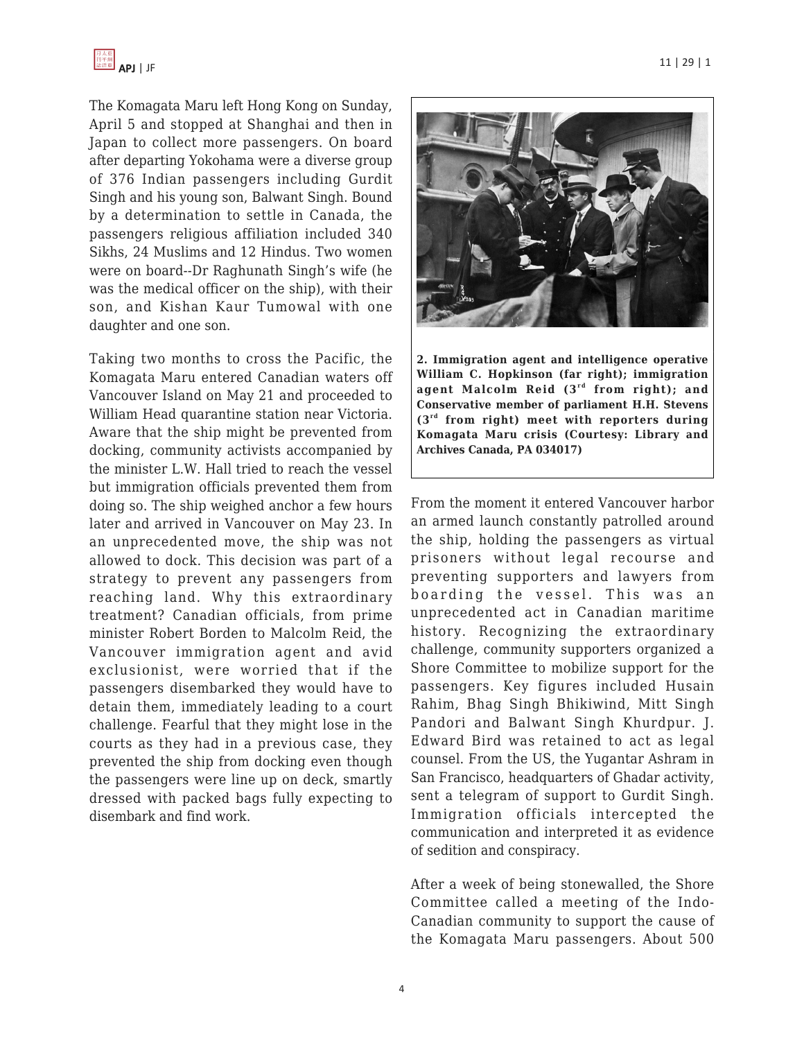

The Komagata Maru left Hong Kong on Sunday, April 5 and stopped at Shanghai and then in Japan to collect more passengers. On board after departing Yokohama were a diverse group of 376 Indian passengers including Gurdit Singh and his young son, Balwant Singh. Bound by a determination to settle in Canada, the passengers religious affiliation included 340 Sikhs, 24 Muslims and 12 Hindus. Two women were on board--Dr Raghunath Singh's wife (he was the medical officer on the ship), with their son, and Kishan Kaur Tumowal with one daughter and one son.

Taking two months to cross the Pacific, the Komagata Maru entered Canadian waters off Vancouver Island on May 21 and proceeded to William Head quarantine station near Victoria. Aware that the ship might be prevented from docking, community activists accompanied by the minister L.W. Hall tried to reach the vessel but immigration officials prevented them from doing so. The ship weighed anchor a few hours later and arrived in Vancouver on May 23. In an unprecedented move, the ship was not allowed to dock. This decision was part of a strategy to prevent any passengers from reaching land. Why this extraordinary treatment? Canadian officials, from prime minister Robert Borden to Malcolm Reid, the Vancouver immigration agent and avid exclusionist, were worried that if the passengers disembarked they would have to detain them, immediately leading to a court challenge. Fearful that they might lose in the courts as they had in a previous case, they prevented the ship from docking even though the passengers were line up on deck, smartly dressed with packed bags fully expecting to disembark and find work.



**2. Immigration agent and intelligence operative William C. Hopkinson (far right); immigration** agent Malcolm Reid (3<sup>rd</sup> from right); and **Conservative member of parliament H.H. Stevens (3rd from right) meet with reporters during Komagata Maru crisis (Courtesy: Library and Archives Canada, PA 034017)**

From the moment it entered Vancouver harbor an armed launch constantly patrolled around the ship, holding the passengers as virtual prisoners without legal recourse and preventing supporters and lawyers from boarding the vessel. This was an unprecedented act in Canadian maritime history. Recognizing the extraordinary challenge, community supporters organized a Shore Committee to mobilize support for the passengers. Key figures included Husain Rahim, Bhag Singh Bhikiwind, Mitt Singh Pandori and Balwant Singh Khurdpur. J. Edward Bird was retained to act as legal counsel. From the US, the Yugantar Ashram in San Francisco, headquarters of Ghadar activity, sent a telegram of support to Gurdit Singh. Immigration officials intercepted the communication and interpreted it as evidence of sedition and conspiracy.

After a week of being stonewalled, the Shore Committee called a meeting of the Indo-Canadian community to support the cause of the Komagata Maru passengers. About 500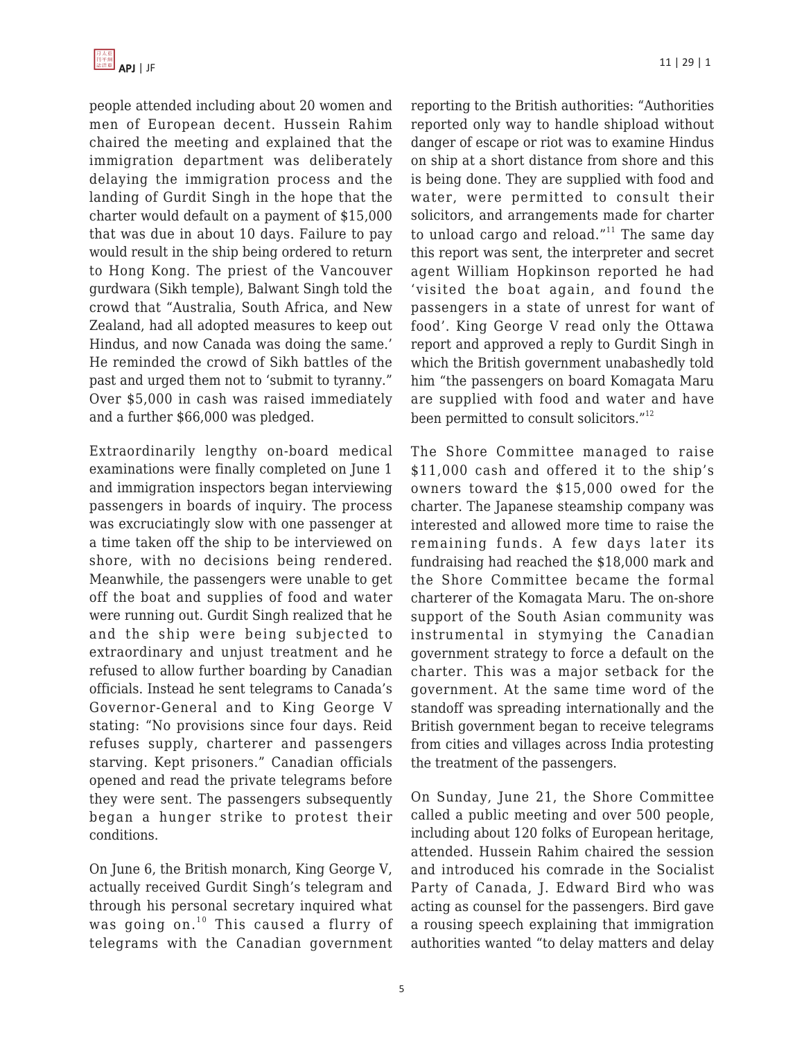

people attended including about 20 women and men of European decent. Hussein Rahim chaired the meeting and explained that the immigration department was deliberately delaying the immigration process and the landing of Gurdit Singh in the hope that the charter would default on a payment of \$15,000 that was due in about 10 days. Failure to pay would result in the ship being ordered to return to Hong Kong. The priest of the Vancouver gurdwara (Sikh temple), Balwant Singh told the crowd that "Australia, South Africa, and New Zealand, had all adopted measures to keep out Hindus, and now Canada was doing the same.' He reminded the crowd of Sikh battles of the past and urged them not to 'submit to tyranny." Over \$5,000 in cash was raised immediately and a further \$66,000 was pledged.

Extraordinarily lengthy on-board medical examinations were finally completed on June 1 and immigration inspectors began interviewing passengers in boards of inquiry. The process was excruciatingly slow with one passenger at a time taken off the ship to be interviewed on shore, with no decisions being rendered. Meanwhile, the passengers were unable to get off the boat and supplies of food and water were running out. Gurdit Singh realized that he and the ship were being subjected to extraordinary and unjust treatment and he refused to allow further boarding by Canadian officials. Instead he sent telegrams to Canada's Governor-General and to King George V stating: "No provisions since four days. Reid refuses supply, charterer and passengers starving. Kept prisoners." Canadian officials opened and read the private telegrams before they were sent. The passengers subsequently began a hunger strike to protest their conditions.

On June 6, the British monarch, King George V, actually received Gurdit Singh's telegram and through his personal secretary inquired what was going on. $10$  This caused a flurry of telegrams with the Canadian government reporting to the British authorities: "Authorities reported only way to handle shipload without danger of escape or riot was to examine Hindus on ship at a short distance from shore and this is being done. They are supplied with food and water, were permitted to consult their solicitors, and arrangements made for charter to unload cargo and reload." $11$  The same day this report was sent, the interpreter and secret agent William Hopkinson reported he had 'visited the boat again, and found the passengers in a state of unrest for want of food'. King George V read only the Ottawa report and approved a reply to Gurdit Singh in which the British government unabashedly told him "the passengers on board Komagata Maru are supplied with food and water and have been permitted to consult solicitors."<sup>12</sup>

The Shore Committee managed to raise \$11,000 cash and offered it to the ship's owners toward the \$15,000 owed for the charter. The Japanese steamship company was interested and allowed more time to raise the remaining funds. A few days later its fundraising had reached the \$18,000 mark and the Shore Committee became the formal charterer of the Komagata Maru. The on-shore support of the South Asian community was instrumental in stymying the Canadian government strategy to force a default on the charter. This was a major setback for the government. At the same time word of the standoff was spreading internationally and the British government began to receive telegrams from cities and villages across India protesting the treatment of the passengers.

On Sunday, June 21, the Shore Committee called a public meeting and over 500 people, including about 120 folks of European heritage, attended. Hussein Rahim chaired the session and introduced his comrade in the Socialist Party of Canada, J. Edward Bird who was acting as counsel for the passengers. Bird gave a rousing speech explaining that immigration authorities wanted "to delay matters and delay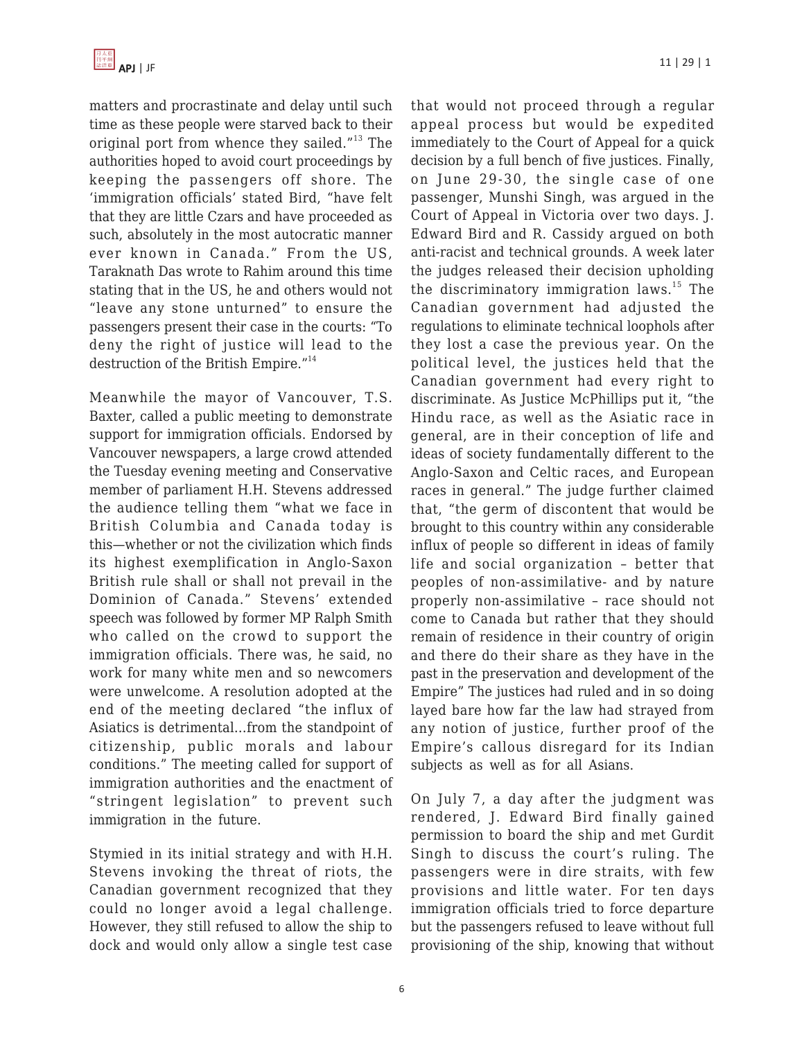

matters and procrastinate and delay until such time as these people were starved back to their original port from whence they sailed."<sup>13</sup> The authorities hoped to avoid court proceedings by keeping the passengers off shore. The 'immigration officials' stated Bird, "have felt that they are little Czars and have proceeded as such, absolutely in the most autocratic manner ever known in Canada." From the US, Taraknath Das wrote to Rahim around this time stating that in the US, he and others would not "leave any stone unturned" to ensure the passengers present their case in the courts: "To deny the right of justice will lead to the destruction of the British Empire."<sup>14</sup>

Meanwhile the mayor of Vancouver, T.S. Baxter, called a public meeting to demonstrate support for immigration officials. Endorsed by Vancouver newspapers, a large crowd attended the Tuesday evening meeting and Conservative member of parliament H.H. Stevens addressed the audience telling them "what we face in British Columbia and Canada today is this—whether or not the civilization which finds its highest exemplification in Anglo-Saxon British rule shall or shall not prevail in the Dominion of Canada." Stevens' extended speech was followed by former MP Ralph Smith who called on the crowd to support the immigration officials. There was, he said, no work for many white men and so newcomers were unwelcome. A resolution adopted at the end of the meeting declared "the influx of Asiatics is detrimental…from the standpoint of citizenship, public morals and labour conditions." The meeting called for support of immigration authorities and the enactment of "stringent legislation" to prevent such immigration in the future.

Stymied in its initial strategy and with H.H. Stevens invoking the threat of riots, the Canadian government recognized that they could no longer avoid a legal challenge. However, they still refused to allow the ship to dock and would only allow a single test case that would not proceed through a regular appeal process but would be expedited immediately to the Court of Appeal for a quick decision by a full bench of five justices. Finally, on June 29-30, the single case of one passenger, Munshi Singh, was argued in the Court of Appeal in Victoria over two days. J. Edward Bird and R. Cassidy argued on both anti-racist and technical grounds. A week later the judges released their decision upholding the discriminatory immigration laws.<sup>15</sup> The Canadian government had adjusted the regulations to eliminate technical loophols after they lost a case the previous year. On the political level, the justices held that the Canadian government had every right to discriminate. As Justice McPhillips put it, "the Hindu race, as well as the Asiatic race in general, are in their conception of life and ideas of society fundamentally different to the Anglo-Saxon and Celtic races, and European races in general." The judge further claimed that, "the germ of discontent that would be brought to this country within any considerable influx of people so different in ideas of family life and social organization – better that peoples of non-assimilative- and by nature properly non-assimilative – race should not come to Canada but rather that they should remain of residence in their country of origin and there do their share as they have in the past in the preservation and development of the Empire" The justices had ruled and in so doing layed bare how far the law had strayed from any notion of justice, further proof of the Empire's callous disregard for its Indian subjects as well as for all Asians.

On July 7, a day after the judgment was rendered, J. Edward Bird finally gained permission to board the ship and met Gurdit Singh to discuss the court's ruling. The passengers were in dire straits, with few provisions and little water. For ten days immigration officials tried to force departure but the passengers refused to leave without full provisioning of the ship, knowing that without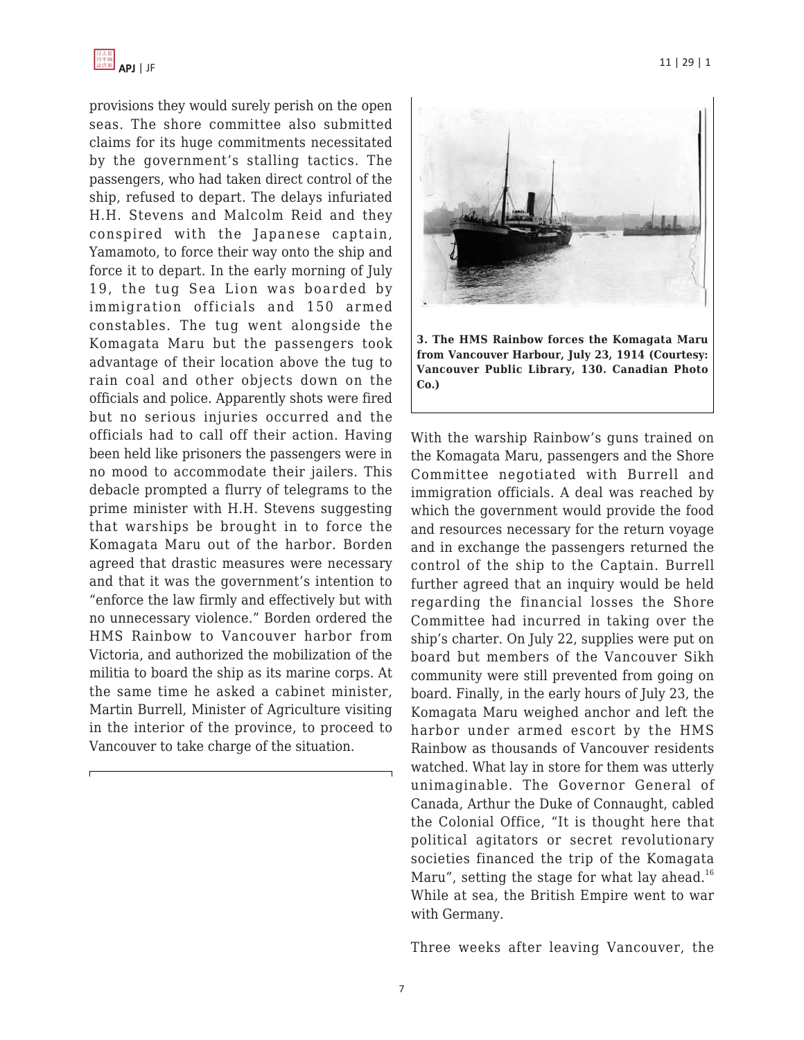

provisions they would surely perish on the open seas. The shore committee also submitted claims for its huge commitments necessitated by the government's stalling tactics. The passengers, who had taken direct control of the ship, refused to depart. The delays infuriated H.H. Stevens and Malcolm Reid and they conspired with the Japanese captain, Yamamoto, to force their way onto the ship and force it to depart. In the early morning of July 19, the tug Sea Lion was boarded by immigration officials and 150 armed constables. The tug went alongside the Komagata Maru but the passengers took advantage of their location above the tug to rain coal and other objects down on the officials and police. Apparently shots were fired but no serious injuries occurred and the officials had to call off their action. Having been held like prisoners the passengers were in no mood to accommodate their jailers. This debacle prompted a flurry of telegrams to the prime minister with H.H. Stevens suggesting that warships be brought in to force the Komagata Maru out of the harbor. Borden agreed that drastic measures were necessary and that it was the government's intention to "enforce the law firmly and effectively but with no unnecessary violence." Borden ordered the HMS Rainbow to Vancouver harbor from Victoria, and authorized the mobilization of the militia to board the ship as its marine corps. At the same time he asked a cabinet minister, Martin Burrell, Minister of Agriculture visiting in the interior of the province, to proceed to Vancouver to take charge of the situation.



With the warship Rainbow's guns trained on the Komagata Maru, passengers and the Shore Committee negotiated with Burrell and immigration officials. A deal was reached by which the government would provide the food and resources necessary for the return voyage and in exchange the passengers returned the control of the ship to the Captain. Burrell further agreed that an inquiry would be held regarding the financial losses the Shore Committee had incurred in taking over the ship's charter. On July 22, supplies were put on board but members of the Vancouver Sikh community were still prevented from going on board. Finally, in the early hours of July 23, the Komagata Maru weighed anchor and left the harbor under armed escort by the HMS Rainbow as thousands of Vancouver residents watched. What lay in store for them was utterly unimaginable. The Governor General of Canada, Arthur the Duke of Connaught, cabled the Colonial Office, "It is thought here that political agitators or secret revolutionary societies financed the trip of the Komagata Maru", setting the stage for what lay ahead.<sup>16</sup> While at sea, the British Empire went to war with Germany.

Three weeks after leaving Vancouver, the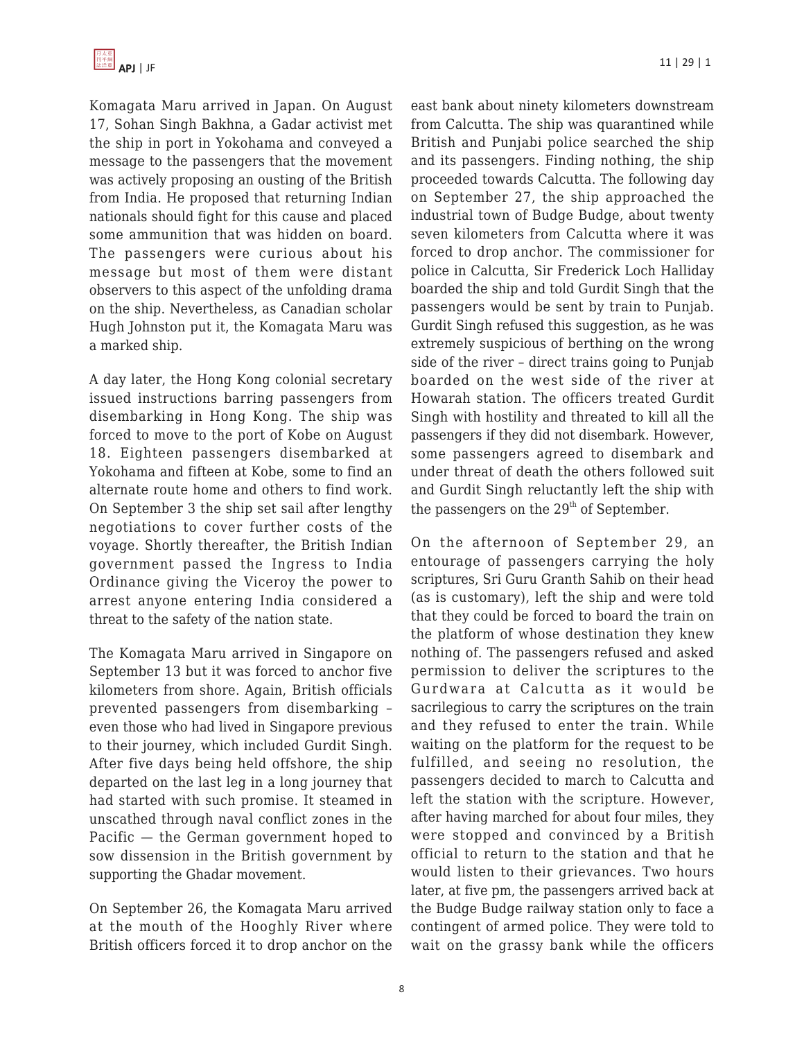

Komagata Maru arrived in Japan. On August 17, Sohan Singh Bakhna, a Gadar activist met the ship in port in Yokohama and conveyed a message to the passengers that the movement was actively proposing an ousting of the British from India. He proposed that returning Indian nationals should fight for this cause and placed some ammunition that was hidden on board. The passengers were curious about his message but most of them were distant observers to this aspect of the unfolding drama on the ship. Nevertheless, as Canadian scholar Hugh Johnston put it, the Komagata Maru was a marked ship.

A day later, the Hong Kong colonial secretary issued instructions barring passengers from disembarking in Hong Kong. The ship was forced to move to the port of Kobe on August 18. Eighteen passengers disembarked at Yokohama and fifteen at Kobe, some to find an alternate route home and others to find work. On September 3 the ship set sail after lengthy negotiations to cover further costs of the voyage. Shortly thereafter, the British Indian government passed the Ingress to India Ordinance giving the Viceroy the power to arrest anyone entering India considered a threat to the safety of the nation state.

The Komagata Maru arrived in Singapore on September 13 but it was forced to anchor five kilometers from shore. Again, British officials prevented passengers from disembarking – even those who had lived in Singapore previous to their journey, which included Gurdit Singh. After five days being held offshore, the ship departed on the last leg in a long journey that had started with such promise. It steamed in unscathed through naval conflict zones in the Pacific — the German government hoped to sow dissension in the British government by supporting the Ghadar movement.

On September 26, the Komagata Maru arrived at the mouth of the Hooghly River where British officers forced it to drop anchor on the east bank about ninety kilometers downstream from Calcutta. The ship was quarantined while British and Punjabi police searched the ship and its passengers. Finding nothing, the ship proceeded towards Calcutta. The following day on September 27, the ship approached the industrial town of Budge Budge, about twenty seven kilometers from Calcutta where it was forced to drop anchor. The commissioner for police in Calcutta, Sir Frederick Loch Halliday boarded the ship and told Gurdit Singh that the passengers would be sent by train to Punjab. Gurdit Singh refused this suggestion, as he was extremely suspicious of berthing on the wrong side of the river – direct trains going to Punjab boarded on the west side of the river at Howarah station. The officers treated Gurdit Singh with hostility and threated to kill all the passengers if they did not disembark. However, some passengers agreed to disembark and under threat of death the others followed suit and Gurdit Singh reluctantly left the ship with the passengers on the  $29<sup>th</sup>$  of September.

On the afternoon of September 29, an entourage of passengers carrying the holy scriptures, Sri Guru Granth Sahib on their head (as is customary), left the ship and were told that they could be forced to board the train on the platform of whose destination they knew nothing of. The passengers refused and asked permission to deliver the scriptures to the Gurdwara at Calcutta as it would be sacrilegious to carry the scriptures on the train and they refused to enter the train. While waiting on the platform for the request to be fulfilled, and seeing no resolution, the passengers decided to march to Calcutta and left the station with the scripture. However, after having marched for about four miles, they were stopped and convinced by a British official to return to the station and that he would listen to their grievances. Two hours later, at five pm, the passengers arrived back at the Budge Budge railway station only to face a contingent of armed police. They were told to wait on the grassy bank while the officers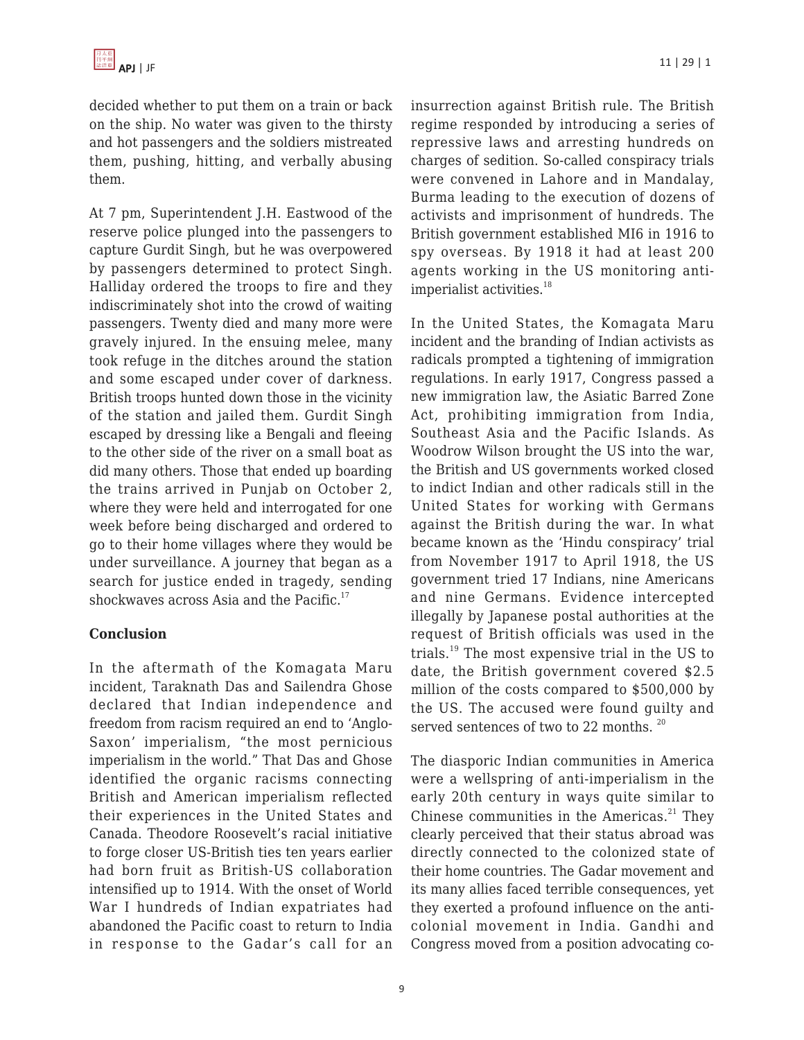decided whether to put them on a train or back on the ship. No water was given to the thirsty and hot passengers and the soldiers mistreated them, pushing, hitting, and verbally abusing them.

At 7 pm, Superintendent J.H. Eastwood of the reserve police plunged into the passengers to capture Gurdit Singh, but he was overpowered by passengers determined to protect Singh. Halliday ordered the troops to fire and they indiscriminately shot into the crowd of waiting passengers. Twenty died and many more were gravely injured. In the ensuing melee, many took refuge in the ditches around the station and some escaped under cover of darkness. British troops hunted down those in the vicinity of the station and jailed them. Gurdit Singh escaped by dressing like a Bengali and fleeing to the other side of the river on a small boat as did many others. Those that ended up boarding the trains arrived in Punjab on October 2, where they were held and interrogated for one week before being discharged and ordered to go to their home villages where they would be under surveillance. A journey that began as a search for justice ended in tragedy, sending shockwaves across Asia and the Pacific. $17$ 

## **Conclusion**

In the aftermath of the Komagata Maru incident, Taraknath Das and Sailendra Ghose declared that Indian independence and freedom from racism required an end to 'Anglo-Saxon' imperialism, "the most pernicious imperialism in the world." That Das and Ghose identified the organic racisms connecting British and American imperialism reflected their experiences in the United States and Canada. Theodore Roosevelt's racial initiative to forge closer US-British ties ten years earlier had born fruit as British-US collaboration intensified up to 1914. With the onset of World War I hundreds of Indian expatriates had abandoned the Pacific coast to return to India in response to the Gadar's call for an insurrection against British rule. The British regime responded by introducing a series of repressive laws and arresting hundreds on charges of sedition. So-called conspiracy trials were convened in Lahore and in Mandalay, Burma leading to the execution of dozens of activists and imprisonment of hundreds. The British government established MI6 in 1916 to spy overseas. By 1918 it had at least 200 agents working in the US monitoring antiimperialist activities.<sup>18</sup>

In the United States, the Komagata Maru incident and the branding of Indian activists as radicals prompted a tightening of immigration regulations. In early 1917, Congress passed a new immigration law, the Asiatic Barred Zone Act, prohibiting immigration from India, Southeast Asia and the Pacific Islands. As Woodrow Wilson brought the US into the war, the British and US governments worked closed to indict Indian and other radicals still in the United States for working with Germans against the British during the war. In what became known as the 'Hindu conspiracy' trial from November 1917 to April 1918, the US government tried 17 Indians, nine Americans and nine Germans. Evidence intercepted illegally by Japanese postal authorities at the request of British officials was used in the trials.<sup>19</sup> The most expensive trial in the US to date, the British government covered \$2.5 million of the costs compared to \$500,000 by the US. The accused were found guilty and served sentences of two to 22 months.<sup>20</sup>

The diasporic Indian communities in America were a wellspring of anti-imperialism in the early 20th century in ways quite similar to Chinese communities in the Americas. $21$  They clearly perceived that their status abroad was directly connected to the colonized state of their home countries. The Gadar movement and its many allies faced terrible consequences, yet they exerted a profound influence on the anticolonial movement in India. Gandhi and Congress moved from a position advocating co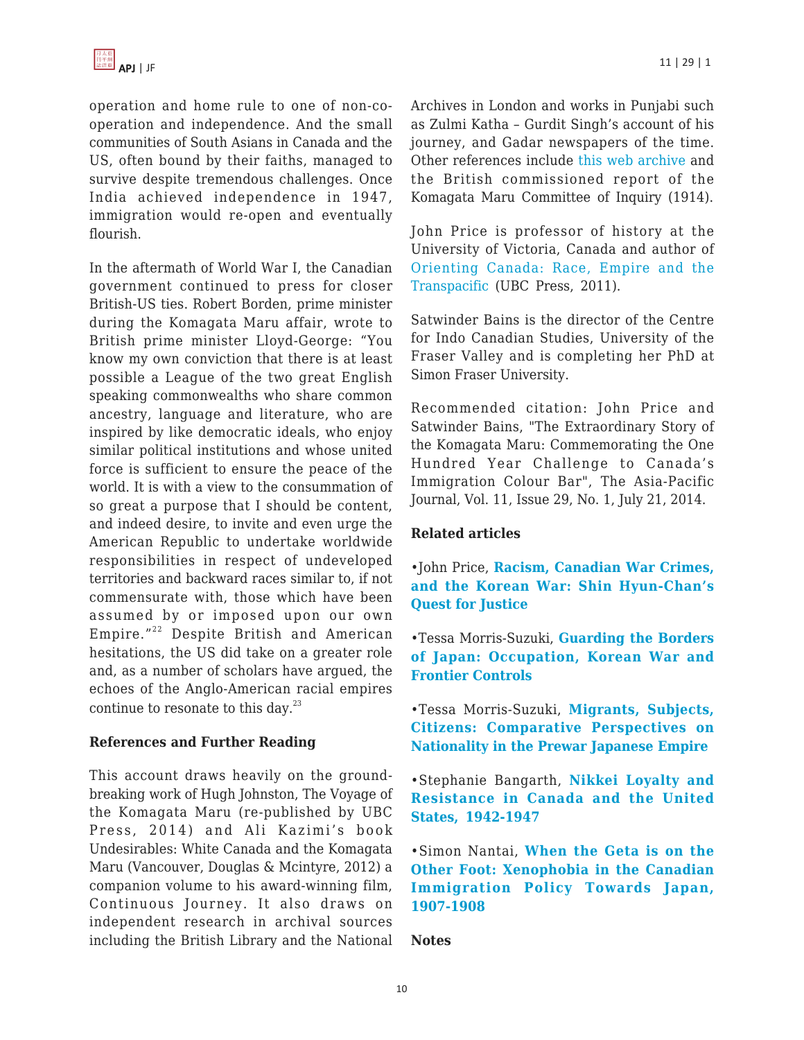operation and home rule to one of non-cooperation and independence. And the small communities of South Asians in Canada and the US, often bound by their faiths, managed to survive despite tremendous challenges. Once India achieved independence in 1947, immigration would re-open and eventually flourish.

In the aftermath of World War I, the Canadian government continued to press for closer British-US ties. Robert Borden, prime minister during the Komagata Maru affair, wrote to British prime minister Lloyd-George: "You know my own conviction that there is at least possible a League of the two great English speaking commonwealths who share common ancestry, language and literature, who are inspired by like democratic ideals, who enjoy similar political institutions and whose united force is sufficient to ensure the peace of the world. It is with a view to the consummation of so great a purpose that I should be content, and indeed desire, to invite and even urge the American Republic to undertake worldwide responsibilities in respect of undeveloped territories and backward races similar to, if not commensurate with, those which have been assumed by or imposed upon our own Empire."<sup>22</sup> Despite British and American hesitations, the US did take on a greater role and, as a number of scholars have argued, the echoes of the Anglo-American racial empires continue to resonate to this day. $^{23}$ 

## **References and Further Reading**

This account draws heavily on the groundbreaking work of Hugh Johnston, The Voyage of the Komagata Maru (re-published by UBC Press, 2014) and Ali Kazimi's book Undesirables: White Canada and the Komagata Maru (Vancouver, Douglas & Mcintyre, 2012) a companion volume to his award-winning film, Continuous Journey. It also draws on independent research in archival sources including the British Library and the National

Archives in London and works in Punjabi such as Zulmi Katha – Gurdit Singh's account of his journey, and Gadar newspapers of the time. Other references include [this web archive](http://komagatamarujourney.ca/) and the British commissioned report of the Komagata Maru Committee of Inquiry (1914).

John Price is professor of history at the University of Victoria, Canada and author of [Orienting Canada: Race, Empire and the](http://www.amazon.com/dp/0774819839/?tag=theasipacjo0b-20) [Transpacific](http://www.amazon.com/dp/0774819839/?tag=theasipacjo0b-20) (UBC Press, 2011).

Satwinder Bains is the director of the Centre for Indo Canadian Studies, University of the Fraser Valley and is completing her PhD at Simon Fraser University.

Recommended citation: John Price and Satwinder Bains, "The Extraordinary Story of the Komagata Maru: Commemorating the One Hundred Year Challenge to Canada's Immigration Colour Bar", The Asia-Pacific Journal, Vol. 11, Issue 29, No. 1, July 21, 2014.

#### **Related articles**

•John Price, **[Racism, Canadian War Crimes,](https://apjjf.org/-John-Price/3678) [and the Korean War: Shin Hyun-Chan's](https://apjjf.org/-John-Price/3678) [Quest for Justice](https://apjjf.org/-John-Price/3678)**

•Tessa Morris-Suzuki, **[Guarding the Borders](https://apjjf.org/-Tessa-Morris_Suzuki/3490) [of Japan: Occupation, Korean War and](https://apjjf.org/-Tessa-Morris_Suzuki/3490) [Frontier Controls](https://apjjf.org/-Tessa-Morris_Suzuki/3490)**

•Tessa Morris-Suzuki, **[Migrants, Subjects,](https://apjjf.org/-Tessa-Morris_Suzuki/2862) [Citizens: Comparative Perspectives on](https://apjjf.org/-Tessa-Morris_Suzuki/2862) [Nationality in the Prewar Japanese Empire](https://apjjf.org/-Tessa-Morris_Suzuki/2862)**

•Stephanie Bangarth, **[Nikkei Loyalty and](https://apjjf.org/-Stephanie-Bangarth/2649) [Resistance in Canada and the United](https://apjjf.org/-Stephanie-Bangarth/2649) [States, 1942-1947](https://apjjf.org/-Stephanie-Bangarth/2649)**

•Simon Nantai, **[When the Geta is on the](https://apjjf.org/-Simon-Nantais/2639) [Other Foot: Xenophobia in the Canadian](https://apjjf.org/-Simon-Nantais/2639) [Immigration Policy Towards Japan,](https://apjjf.org/-Simon-Nantais/2639) [1907-1908](https://apjjf.org/-Simon-Nantais/2639)**

#### **Notes**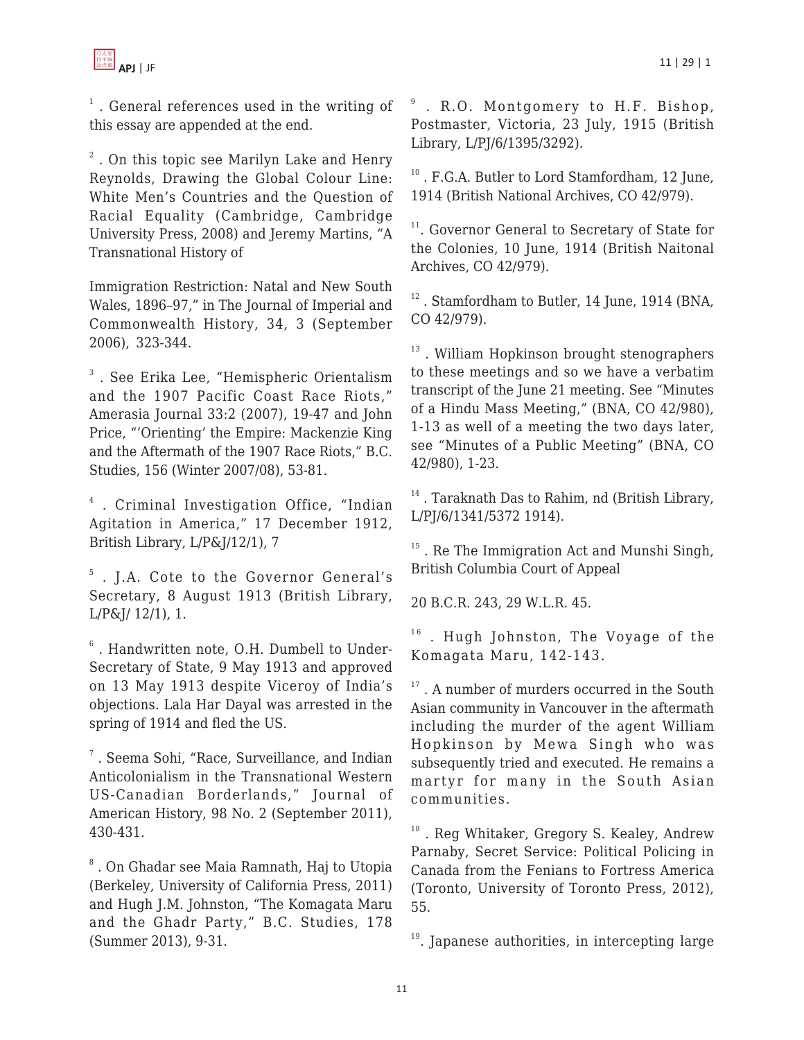

 $1$ . General references used in the writing of this essay are appended at the end.

 $^2$  . On this topic see Marilyn Lake and Henry Reynolds, Drawing the Global Colour Line: White Men's Countries and the Question of Racial Equality (Cambridge, Cambridge University Press, 2008) and Jeremy Martins, "A Transnational History of

Immigration Restriction: Natal and New South Wales, 1896–97," in The Journal of Imperial and Commonwealth History, 34, 3 (September 2006), 323-344.

 $^3$  . See Erika Lee, "Hemispheric Orientalism and the 1907 Pacific Coast Race Riots," Amerasia Journal 33:2 (2007), 19-47 and John Price, "'Orienting' the Empire: Mackenzie King and the Aftermath of the 1907 Race Riots," B.C. Studies, 156 (Winter 2007/08), 53-81.

4 . Criminal Investigation Office, "Indian Agitation in America," 17 December 1912, British Library, L/P&J/12/1), 7

5 . J.A. Cote to the Governor General's Secretary, 8 August 1913 (British Library, L/P&J/ 12/1), 1.

 $6$ . Handwritten note, O.H. Dumbell to Under-Secretary of State, 9 May 1913 and approved on 13 May 1913 despite Viceroy of India's objections. Lala Har Dayal was arrested in the spring of 1914 and fled the US.

7 . Seema Sohi, "Race, Surveillance, and Indian Anticolonialism in the Transnational Western US-Canadian Borderlands," Journal of American History, 98 No. 2 (September 2011), 430-431.

 $\,^8$  . On Ghadar see Maia Ramnath, Haj to Utopia (Berkeley, University of California Press, 2011) and Hugh J.M. Johnston, "The Komagata Maru and the Ghadr Party," B.C. Studies, 178 (Summer 2013), 9-31.

<sup>9</sup> . R.O. Montgomery to H.F. Bishop, Postmaster, Victoria, 23 July, 1915 (British Library, L/PJ/6/1395/3292).

<sup>10</sup>. F.G.A. Butler to Lord Stamfordham, 12 June, 1914 (British National Archives, CO 42/979).

<sup>11</sup>. Governor General to Secretary of State for the Colonies, 10 June, 1914 (British Naitonal Archives, CO 42/979).

<sup>12</sup>. Stamfordham to Butler, 14 June, 1914 (BNA, CO 42/979).

<sup>13</sup>. William Hopkinson brought stenographers to these meetings and so we have a verbatim transcript of the June 21 meeting. See "Minutes of a Hindu Mass Meeting," (BNA, CO 42/980), 1-13 as well of a meeting the two days later, see "Minutes of a Public Meeting" (BNA, CO 42/980), 1-23.

 $14$ . Taraknath Das to Rahim, nd (British Library, L/PJ/6/1341/5372 1914).

<sup>15</sup>. Re The Immigration Act and Munshi Singh, British Columbia Court of Appeal

20 B.C.R. 243, 29 W.L.R. 45.

 $16$ . Hugh Johnston, The Voyage of the Komagata Maru, 142-143.

 $17$ . A number of murders occurred in the South Asian community in Vancouver in the aftermath including the murder of the agent William Hopkinson by Mewa Singh who was subsequently tried and executed. He remains a martyr for many in the South Asian communities.

<sup>18</sup>. Reg Whitaker, Gregory S. Kealey, Andrew Parnaby, Secret Service: Political Policing in Canada from the Fenians to Fortress America (Toronto, University of Toronto Press, 2012), 55.

 $19.$  Japanese authorities, in intercepting large